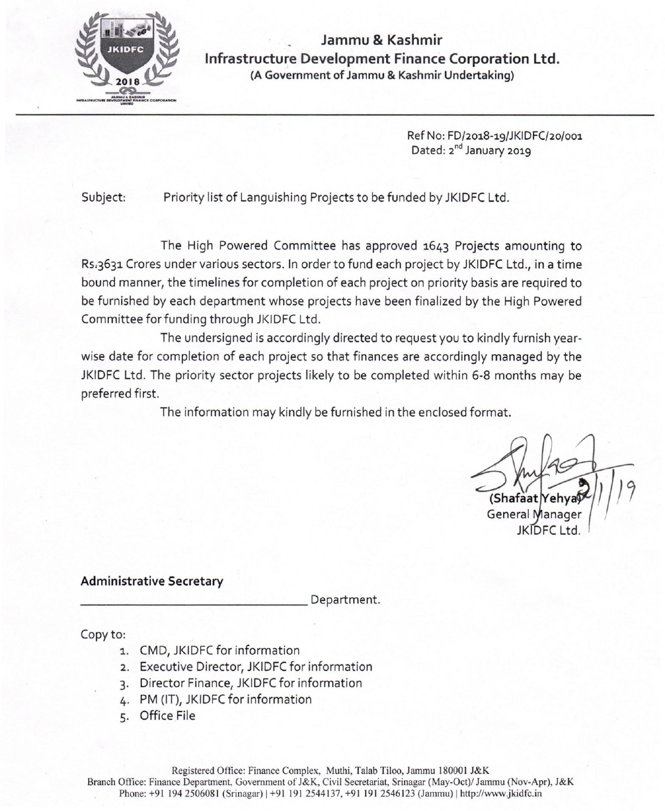

**Jammu & Kashmir Infrastructure Development Finance Corporation Ltd. (A Government of Jammu & Kashmir Undertaking)** 

> Ref No: FD/2018-19/JKIDFC/20/001 Dated: 2<sup>nd</sup> January 2019

Subject: Priority list of Languishing Projects to be funded by JKIDFC Ltd.

The High Powered Committee has approved 1643 Projects amounting to Rs.3631 Crores under various sectors. In order to fund each project by JKIDFC Ltd., in a time bound manner, the timelines for completion of each project on priority basis are required to be furnished by each department whose projects have been finalized by the High Powered Committee for funding through JKIDFC Ltd.

The undersigned is accordingly directed to request you to kindly furnish yearwise date for completion of each project so that finances are accordingly managed by the JKIDFC Ltd. The priority sector projects likely to be completed within 6-8 months may be preferred first.

The information may kindly be furnished in the enclosed format.

(Shafaat Yehya General I

## **Administrative Secretary**

Department.

Copy to:

- 1. CMD, JKIDFC for information
- 2. Executive Director, JKIDFC for information
- 3. Director Finance, JKIDFC for information
- 4. PM (IT), JKIDFC for information
- 5. Office File